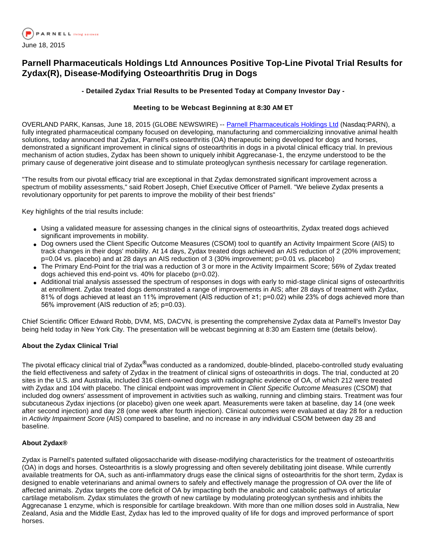

# **Parnell Pharmaceuticals Holdings Ltd Announces Positive Top-Line Pivotal Trial Results for Zydax(R), Disease-Modifying Osteoarthritis Drug in Dogs**

# **- Detailed Zydax Trial Results to be Presented Today at Company Investor Day -**

# **Meeting to be Webcast Beginning at 8:30 AM ET**

OVERLAND PARK, Kansas, June 18, 2015 (GLOBE NEWSWIRE) -- [Parnell Pharmaceuticals Holdings Ltd](http://www.globenewswire.com/newsroom/ctr?d=10138960&l=3&a=Parnell%20Pharmaceuticals%20Holdings%20Ltd&u=http%3A%2F%2Fwww.parnell.com%2F) (Nasdaq:PARN), a fully integrated pharmaceutical company focused on developing, manufacturing and commercializing innovative animal health solutions, today announced that Zydax, Parnell's osteoarthritis (OA) therapeutic being developed for dogs and horses, demonstrated a significant improvement in clinical signs of osteoarthritis in dogs in a pivotal clinical efficacy trial. In previous mechanism of action studies, Zydax has been shown to uniquely inhibit Aggrecanase-1, the enzyme understood to be the primary cause of degenerative joint disease and to stimulate proteoglycan synthesis necessary for cartilage regeneration.

"The results from our pivotal efficacy trial are exceptional in that Zydax demonstrated significant improvement across a spectrum of mobility assessments," said Robert Joseph, Chief Executive Officer of Parnell. "We believe Zydax presents a revolutionary opportunity for pet parents to improve the mobility of their best friends"

Key highlights of the trial results include:

- Using a validated measure for assessing changes in the clinical signs of osteoarthritis, Zydax treated dogs achieved significant improvements in mobility.
- Dog owners used the Client Specific Outcome Measures (CSOM) tool to quantify an Activity Impairment Score (AIS) to track changes in their dogs' mobility. At 14 days, Zydax treated dogs achieved an AIS reduction of 2 (20% improvement; p=0.04 vs. placebo) and at 28 days an AIS reduction of 3 (30% improvement; p=0.01 vs. placebo)
- The Primary End-Point for the trial was a reduction of 3 or more in the Activity Impairment Score; 56% of Zydax treated dogs achieved this end-point vs. 40% for placebo (p=0.02).
- Additional trial analysis assessed the spectrum of responses in dogs with early to mid-stage clinical signs of osteoarthritis at enrollment. Zydax treated dogs demonstrated a range of improvements in AIS; after 28 days of treatment with Zydax, 81% of dogs achieved at least an 11% improvement (AIS reduction of ≥1; p=0.02) while 23% of dogs achieved more than 56% improvement (AIS reduction of ≥5; p=0.03).

Chief Scientific Officer Edward Robb, DVM, MS, DACVN, is presenting the comprehensive Zydax data at Parnell's Investor Day being held today in New York City. The presentation will be webcast beginning at 8:30 am Eastern time (details below).

#### **About the Zydax Clinical Trial**

The pivotal efficacy clinical trial of Zydax**®**was conducted as a randomized, double-blinded, placebo-controlled study evaluating the field effectiveness and safety of Zydax in the treatment of clinical signs of osteoarthritis in dogs. The trial, conducted at 20 sites in the U.S. and Australia, included 316 client-owned dogs with radiographic evidence of OA, of which 212 were treated with Zydax and 104 with placebo. The clinical endpoint was improvement in Client Specific Outcome Measures (CSOM) that included dog owners' assessment of improvement in activities such as walking, running and climbing stairs. Treatment was four subcutaneous Zydax injections (or placebo) given one week apart. Measurements were taken at baseline, day 14 (one week after second injection) and day 28 (one week after fourth injection). Clinical outcomes were evaluated at day 28 for a reduction in Activity Impairment Score (AIS) compared to baseline, and no increase in any individual CSOM between day 28 and baseline.

# **About Zydax®**

Zydax is Parnell's patented sulfated oligosaccharide with disease-modifying characteristics for the treatment of osteoarthritis (OA) in dogs and horses. Osteoarthritis is a slowly progressing and often severely debilitating joint disease. While currently available treatments for OA, such as anti-inflammatory drugs ease the clinical signs of osteoarthritis for the short term, Zydax is designed to enable veterinarians and animal owners to safely and effectively manage the progression of OA over the life of affected animals. Zydax targets the core deficit of OA by impacting both the anabolic and catabolic pathways of articular cartilage metabolism. Zydax stimulates the growth of new cartilage by modulating proteoglycan synthesis and inhibits the Aggrecanase 1 enzyme, which is responsible for cartilage breakdown. With more than one million doses sold in Australia, New Zealand, Asia and the Middle East, Zydax has led to the improved quality of life for dogs and improved performance of sport horses.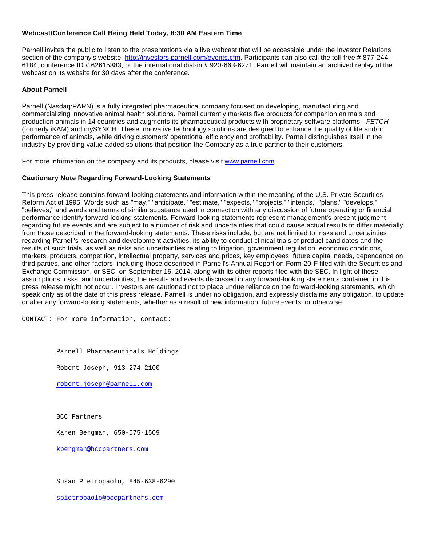### **Webcast/Conference Call Being Held Today, 8:30 AM Eastern Time**

Parnell invites the public to listen to the presentations via a live webcast that will be accessible under the Investor Relations section of the company's website, [http://investors.parnell.com/events.cfm](http://www.globenewswire.com/newsroom/ctr?d=10138960&l=12&u=http%3A%2F%2Finvestors.parnell.com%2Fevents.cfm). Participants can also call the toll-free # 877-244- 6184, conference ID # 62615383, or the international dial-in # 920-663-6271. Parnell will maintain an archived replay of the webcast on its website for 30 days after the conference.

# **About Parnell**

Parnell (Nasdaq:PARN) is a fully integrated pharmaceutical company focused on developing, manufacturing and commercializing innovative animal health solutions. Parnell currently markets five products for companion animals and production animals in 14 countries and augments its pharmaceutical products with proprietary software platforms - FETCH (formerly iKAM) and mySYNCH. These innovative technology solutions are designed to enhance the quality of life and/or performance of animals, while driving customers' operational efficiency and profitability. Parnell distinguishes itself in the industry by providing value-added solutions that position the Company as a true partner to their customers.

For more information on the company and its products, please visit [www.parnell.com](http://www.globenewswire.com/newsroom/ctr?d=10138960&l=15&a=www.parnell.com&u=http%3A%2F%2Fwww.parnell.com%2F).

# **Cautionary Note Regarding Forward-Looking Statements**

This press release contains forward-looking statements and information within the meaning of the U.S. Private Securities Reform Act of 1995. Words such as "may," "anticipate," "estimate," "expects," "projects," "intends," "plans," "develops," "believes," and words and terms of similar substance used in connection with any discussion of future operating or financial performance identify forward-looking statements. Forward-looking statements represent management's present judgment regarding future events and are subject to a number of risk and uncertainties that could cause actual results to differ materially from those described in the forward-looking statements. These risks include, but are not limited to, risks and uncertainties regarding Parnell's research and development activities, its ability to conduct clinical trials of product candidates and the results of such trials, as well as risks and uncertainties relating to litigation, government regulation, economic conditions, markets, products, competition, intellectual property, services and prices, key employees, future capital needs, dependence on third parties, and other factors, including those described in Parnell's Annual Report on Form 20-F filed with the Securities and Exchange Commission, or SEC, on September 15, 2014, along with its other reports filed with the SEC. In light of these assumptions, risks, and uncertainties, the results and events discussed in any forward-looking statements contained in this press release might not occur. Investors are cautioned not to place undue reliance on the forward-looking statements, which speak only as of the date of this press release. Parnell is under no obligation, and expressly disclaims any obligation, to update or alter any forward-looking statements, whether as a result of new information, future events, or otherwise.

CONTACT: For more information, contact:

Parnell Pharmaceuticals Holdings

Robert Joseph, 913-274-2100

[robert.joseph@parnell.com](mailto:robert.joseph@parnell.com)

BCC Partners

Karen Bergman, 650-575-1509

[kbergman@bccpartners.com](mailto:kbergman@bccpartners.com)

Susan Pietropaolo, 845-638-6290

[spietropaolo@bccpartners.com](mailto:spietropaolo@bccpartners.com)